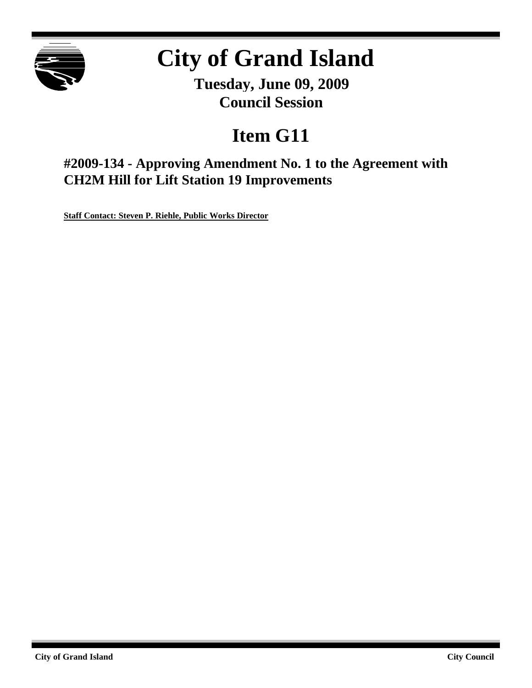

# **City of Grand Island**

**Tuesday, June 09, 2009 Council Session**

## **Item G11**

**#2009-134 - Approving Amendment No. 1 to the Agreement with CH2M Hill for Lift Station 19 Improvements**

**Staff Contact: Steven P. Riehle, Public Works Director**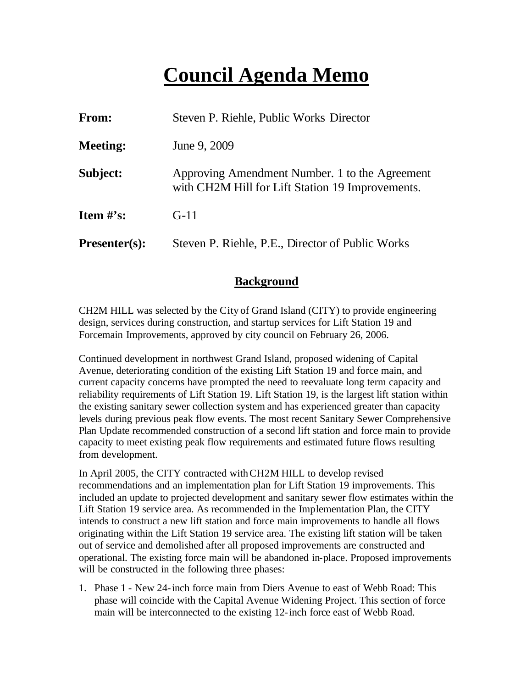## **Council Agenda Memo**

| From:           | Steven P. Riehle, Public Works Director                                                            |
|-----------------|----------------------------------------------------------------------------------------------------|
| <b>Meeting:</b> | June 9, 2009                                                                                       |
| Subject:        | Approving Amendment Number. 1 to the Agreement<br>with CH2M Hill for Lift Station 19 Improvements. |
| Item $\#$ 's:   | $G-11$                                                                                             |
| $Presenter(s):$ | Steven P. Riehle, P.E., Director of Public Works                                                   |

#### **Background**

CH2M HILL was selected by the City of Grand Island (CITY) to provide engineering design, services during construction, and startup services for Lift Station 19 and Forcemain Improvements, approved by city council on February 26, 2006.

Continued development in northwest Grand Island, proposed widening of Capital Avenue, deteriorating condition of the existing Lift Station 19 and force main, and current capacity concerns have prompted the need to reevaluate long term capacity and reliability requirements of Lift Station 19. Lift Station 19, is the largest lift station within the existing sanitary sewer collection system and has experienced greater than capacity levels during previous peak flow events. The most recent Sanitary Sewer Comprehensive Plan Update recommended construction of a second lift station and force main to provide capacity to meet existing peak flow requirements and estimated future flows resulting from development.

In April 2005, the CITY contracted with CH2M HILL to develop revised recommendations and an implementation plan for Lift Station 19 improvements. This included an update to projected development and sanitary sewer flow estimates within the Lift Station 19 service area. As recommended in the Implementation Plan, the CITY intends to construct a new lift station and force main improvements to handle all flows originating within the Lift Station 19 service area. The existing lift station will be taken out of service and demolished after all proposed improvements are constructed and operational. The existing force main will be abandoned in-place. Proposed improvements will be constructed in the following three phases:

1. Phase 1 - New 24-inch force main from Diers Avenue to east of Webb Road: This phase will coincide with the Capital Avenue Widening Project. This section of force main will be interconnected to the existing 12-inch force east of Webb Road.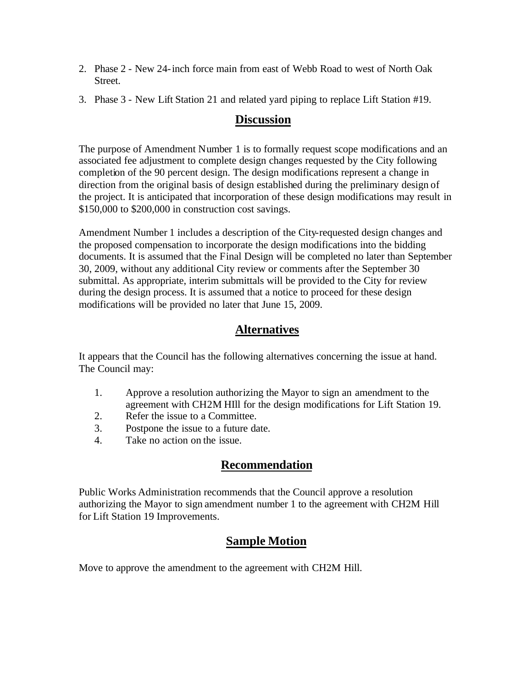- 2. Phase 2 New 24-inch force main from east of Webb Road to west of North Oak Street.
- 3. Phase 3 New Lift Station 21 and related yard piping to replace Lift Station #19.

#### **Discussion**

The purpose of Amendment Number 1 is to formally request scope modifications and an associated fee adjustment to complete design changes requested by the City following completion of the 90 percent design. The design modifications represent a change in direction from the original basis of design established during the preliminary design of the project. It is anticipated that incorporation of these design modifications may result in \$150,000 to \$200,000 in construction cost savings.

Amendment Number 1 includes a description of the City-requested design changes and the proposed compensation to incorporate the design modifications into the bidding documents. It is assumed that the Final Design will be completed no later than September 30, 2009, without any additional City review or comments after the September 30 submittal. As appropriate, interim submittals will be provided to the City for review during the design process. It is assumed that a notice to proceed for these design modifications will be provided no later that June 15, 2009.

### **Alternatives**

It appears that the Council has the following alternatives concerning the issue at hand. The Council may:

- 1. Approve a resolution authorizing the Mayor to sign an amendment to the agreement with CH2M HIll for the design modifications for Lift Station 19.
- 2. Refer the issue to a Committee.
- 3. Postpone the issue to a future date.
- 4. Take no action on the issue.

### **Recommendation**

Public Works Administration recommends that the Council approve a resolution authorizing the Mayor to sign amendment number 1 to the agreement with CH2M Hill for Lift Station 19 Improvements.

## **Sample Motion**

Move to approve the amendment to the agreement with CH2M Hill.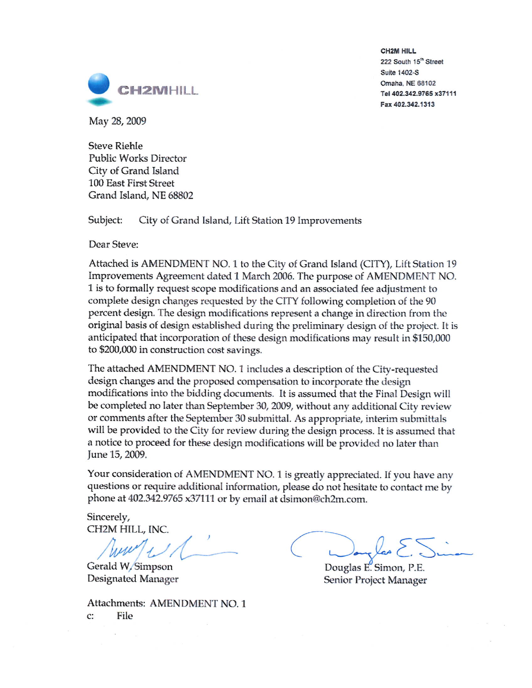

**CH2M HILL** 222 South 15th Street Suite 1402-S Omaha, NE 68102 Tel 402.342.9765 x37111 Fax 402.342.1313

May 28, 2009

**Steve Riehle** Public Works Director City of Grand Island **100 East First Street** Grand Island, NE 68802

Subject: City of Grand Island, Lift Station 19 Improvements

Dear Steve:

Attached is AMENDMENT NO. 1 to the City of Grand Island (CITY), Lift Station 19 Improvements Agreement dated 1 March 2006. The purpose of AMENDMENT NO. 1 is to formally request scope modifications and an associated fee adjustment to complete design changes requested by the CITY following completion of the 90 percent design. The design modifications represent a change in direction from the original basis of design established during the preliminary design of the project. It is anticipated that incorporation of these design modifications may result in \$150,000 to \$200,000 in construction cost savings.

The attached AMENDMENT NO. 1 includes a description of the City-requested design changes and the proposed compensation to incorporate the design modifications into the bidding documents. It is assumed that the Final Design will be completed no later than September 30, 2009, without any additional City review or comments after the September 30 submittal. As appropriate, interim submittals will be provided to the City for review during the design process. It is assumed that a notice to proceed for these design modifications will be provided no later than June 15, 2009.

Your consideration of AMENDMENT NO. 1 is greatly appreciated. If you have any questions or require additional information, please do not hesitate to contact me by phone at 402.342.9765 x37111 or by email at dsimon@ch2m.com.

Sincerely, CH2M HILL, INC.

Gerald W. Simpson Designated Manager

Attachments: AMENDMENT NO. 1 c: File

Douglas E. Simon, P.E. Senior Project Manager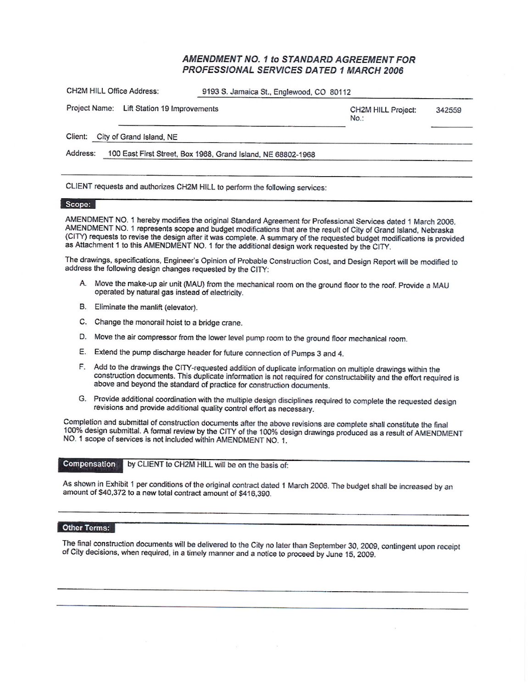#### AMENDMENT NO. 1 to STANDARD AGREEMENT FOR PROFESSIONAL SERVICES DATED 1 MARCH 2006

| Project Name: Lift Station 19 Improvements | <b>CH2M HILL Project:</b><br>No. | 342559                                                       |
|--------------------------------------------|----------------------------------|--------------------------------------------------------------|
| City of Grand Island, NE                   |                                  |                                                              |
|                                            |                                  |                                                              |
|                                            |                                  | 100 East First Street, Box 1968, Grand Island, NE 68802-1968 |

#### Scope:

AMENDMENT NO. 1 hereby modifies the original Standard Agreement for Professional Services dated 1 March 2006. AMENDMENT NO. 1 represents scope and budget modifications that are the result of City of Grand Island, Nebraska (CITY) requests to revise the design after it was complete. A summary of the requested budget modifications is provided as Attachment 1 to this AMENDMENT NO. 1 for the additional design work requested by the CITY.

The drawings, specifications, Engineer's Opinion of Probable Construction Cost, and Design Report will be modified to address the following design changes requested by the CITY:

- A. Move the make-up air unit (MAU) from the mechanical room on the ground floor to the roof. Provide a MAU operated by natural gas instead of electricity.
- B. Eliminate the manlift (elevator).
- C. Change the monorail hoist to a bridge crane.
- D. Move the air compressor from the lower level pump room to the ground floor mechanical room.
- E. Extend the pump discharge header for future connection of Pumps 3 and 4.
- F. Add to the drawings the CITY-requested addition of duplicate information on multiple drawings within the construction documents. This duplicate information is not required for constructability and the effort required is above and beyond the standard of practice for construction documents.
- G. Provide additional coordination with the multiple design disciplines required to complete the requested design revisions and provide additional quality control effort as necessary.

Completion and submittal of construction documents after the above revisions are complete shall constitute the final 100% design submittal. A formal review by the CITY of the 100% design drawings produced as a result of AMENDMENT NO. 1 scope of services is not included within AMENDMENT NO. 1.

by CLIENT to CH2M HILL will be on the basis of: Compensation

As shown in Exhibit 1 per conditions of the original contract dated 1 March 2006. The budget shall be increased by an amount of \$40,372 to a new total contract amount of \$416,390.

#### Other Terms:

The final construction documents will be delivered to the City no later than September 30, 2009, contingent upon receipt of City decisions, when required, in a timely manner and a notice to proceed by June 15, 2009.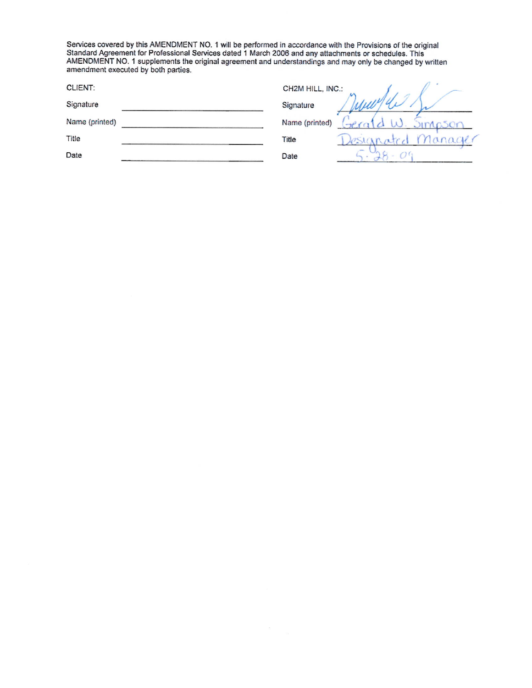Services covered by this AMENDMENT NO. 1 will be performed in accordance with the Provisions of the original Standard Agreement for Professional Services dated 1 March 2006 and any attachments or schedules. This AMENDMENT

| CH2M HILL, INC.: |      |
|------------------|------|
| Signature        |      |
| Name (printed)   | nson |
| Title            |      |
| Date             |      |
|                  |      |

 $\pm$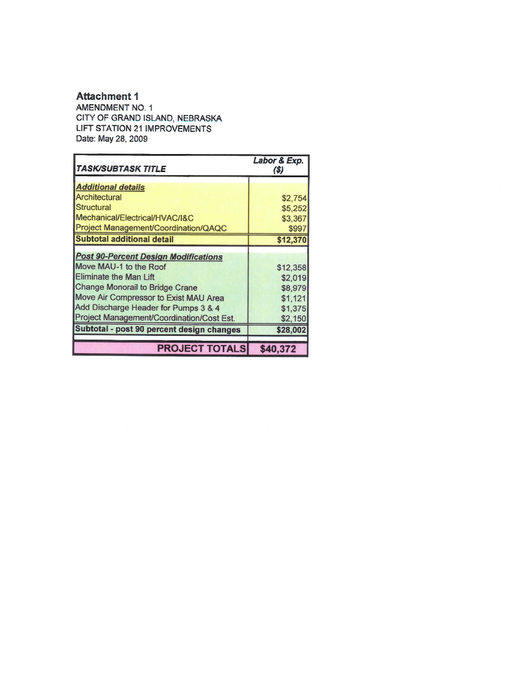#### **Attachment 1**

AMENDMENT NO. 1 CITY OF GRAND ISLAND, NEBRASKA LIFT STATION 21 IMPROVEMENTS Date: May 28, 2009

| TASK/SUBTASK TITLE                          | Labor & Exp.<br>(S) |
|---------------------------------------------|---------------------|
| <b>Additional details</b>                   |                     |
| Architectural                               | \$2,754             |
| <b>Structural</b>                           | \$5,252             |
| Mechanical/Electrical/HVAC/I&C              | \$3,367             |
| Project Management/Coordination/QAQC        | \$997               |
| <b>Subtotal additional detail</b>           | \$12,370            |
| <b>Post 90-Percent Design Modifications</b> |                     |
| Move MAU-1 to the Roof                      | \$12,358            |
| Eliminate the Man Lift                      | \$2,019             |
| <b>Change Monorail to Bridge Crane</b>      | \$8,979             |
| Move Air Compressor to Exist MAU Area       | \$1,121             |
| Add Discharge Header for Pumps 3 & 4        | \$1,375             |
| Project Management/Coordination/Cost Est.   | \$2,150             |
| Subtotal - post 90 percent design changes   | \$28,002            |
|                                             |                     |
| <b>PROJECT TOTALS</b>                       | \$40,372            |